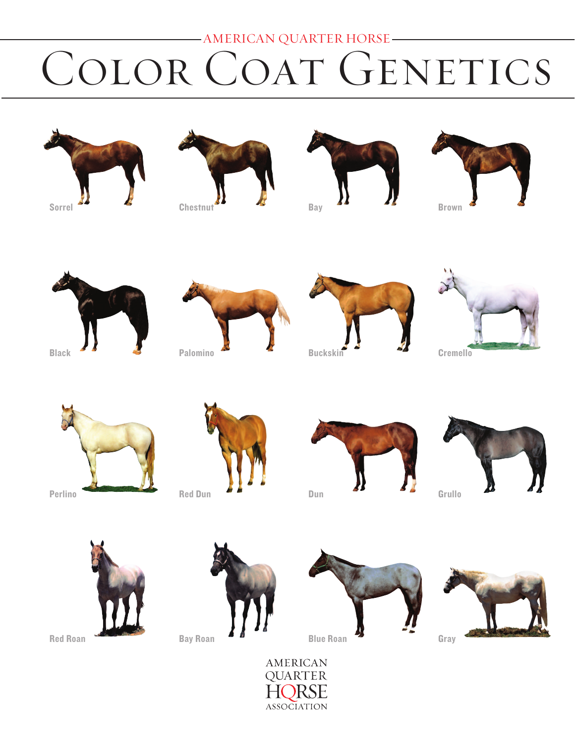# -AMERICAN QUARTER HORSE-COLOR COAT GENETICS







Bay























**Bay Roan** 



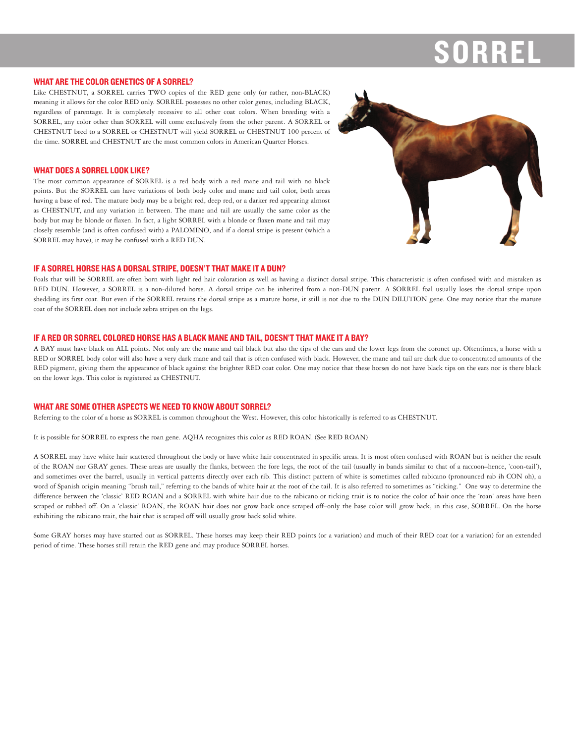#### **WHAT ARE THE COLOR GENETICS OF A SORREL?**

Like CHESTNUT, a SORREL carries TWO copies of the RED gene only (or rather, non-BLACK) meaning it allows for the color RED only. SORREL possesses no other color genes, including BLACK, regardless of parentage. It is completely recessive to all other coat colors. When breeding with a SORREL, any color other than SORREL will come exclusively from the other parent. A SORREL or CHESTNUT bred to a SORREL or CHESTNUT will yield SORREL or CHESTNUT 100 percent of the time. SORREL and CHESTNUT are the most common colors in American Quarter Horses.

# **WHAT DOES A SORREL LOOK LIKE?**

The most common appearance of SORREL is a red body with a red mane and tail with no black points. But the SORREL can have variations of both body color and mane and tail color, both areas having a base of red. The mature body may be a bright red, deep red, or a darker red appearing almost as CHESTNUT, and any variation in between. The mane and tail are usually the same color as the body but may be blonde or flaxen. In fact, a light SORREL with a blonde or flaxen mane and tail may closely resemble (and is often confused with) a PALOMINO, and if a dorsal stripe is present (which a SORREL may have), it may be confused with a RED DUN.



# IF A SORREL HORSE HAS A DORSAL STRIPE. DOESN'T THAT MAKE IT A DUN?

Foals that will be SORREL are often born with light red hair coloration as well as having a distinct dorsal stripe. This characteristic is often confused with and mistaken as RED DUN. However, a SORREL is a non-diluted horse. A dorsal stripe can be inherited from a non-DUN parent. A SORREL foal usually loses the dorsal stripe upon shedding its first coat. But even if the SORREL retains the dorsal stripe as a mature horse, it still is not due to the DUN DILUTION gene. One may notice that the mature coat of the SORREL does not include zebra stripes on the legs.

#### IF A RED OR SORREL COLORED HORSE HAS A BLACK MANE AND TAIL, DOESN'T THAT MAKE IT A BAY?

A BAY must have black on ALL points. Not only are the mane and tail black but also the tips of the ears and the lower legs from the coronet up. Oftentimes, a horse with a RED or SORREL body color will also have a very dark mane and tail that is often confused with black. However, the mane and tail are dark due to concentrated amounts of the RED pigment, giving them the appearance of black against the brighter RED coat color. One may notice that these horses do not have black tips on the ears nor is there black on the lower legs. This color is registered as CHESTNUT.

# **WHAT ARE SOME OTHER ASPECTS WE NEED TO KNOW ABOUT SORREL?**

Referring to the color of a horse as SORREL is common throughout the West. However, this color historically is referred to as CHESTNUT.

It is possible for SORREL to express the roan gene. AQHA recognizes this color as RED ROAN. (See RED ROAN)

A SORREL may have white hair scattered throughout the body or have white hair concentrated in specific areas. It is most often confused with ROAN but is neither the result of the ROAN nor GRAY genes. These areas are usually the flanks, between the fore legs, the root of the tail (usually in bands similar to that of a raccoon-hence, 'coon-tail'), and sometimes over the barrel, usually in vertical patterns directly over each rib. This distinct pattern of white is sometimes called rabicano (pronounced rab ih CON oh), a word of Spanish origin meaning "brush tail," referring to the bands of white hair at the root of the tail. It is also referred to sometimes as "ticking." One way to determine the difference between the 'classic' RED ROAN and a SORREL with white hair due to the rabicano or ticking trait is to notice the color of hair once the 'roan' areas have been scraped or rubbed off. On a 'classic' ROAN, the ROAN hair does not grow back once scraped off-only the base color will grow back, in this case, SORREL. On the horse exhibiting the rabicano trait, the hair that is scraped off will usually grow back solid white.

Some GRAY horses may have started out as SORREL. These horses may keep their RED points (or a variation) and much of their RED coat (or a variation) for an extended period of time. These horses still retain the RED gene and may produce SORREL horses.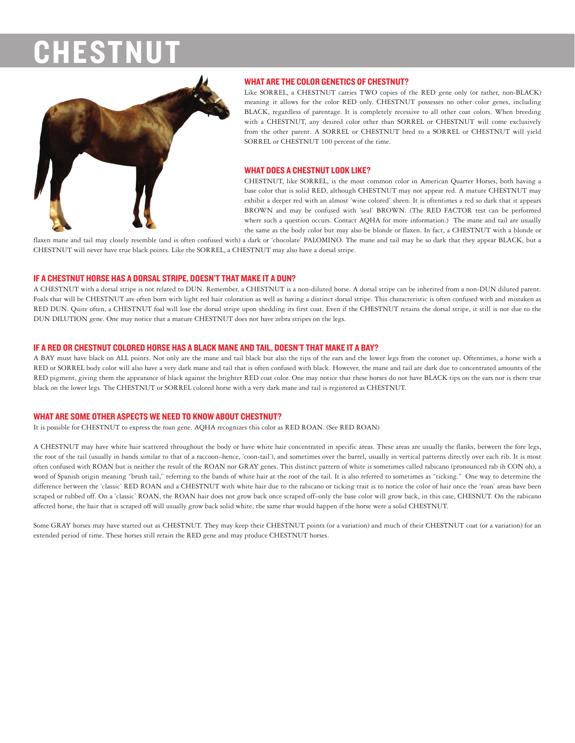# CHEST



# **WHAT ARE THE COLOR GENETICS OF CHESTNUT?**

Like SORREL, a CHESTNUT carries TWO copies of the RED gene only (or rather, non-BLACK) meaning it allows for the color RED only. CHESTNUT possesses no other color genes, including BLACK, regardless of parentage. It is completely recessive to all other coat colors. When breeding with a CHESTNUT, any desired color other than SORREL or CHESTNUT will come exclusively from the other parent. A SORREL or CHESTNUT bred to a SORREL or CHESTNUT will yield SORREL or CHESTNUT 100 percent of the time.

# **WHAT DOES A CHESTNUT LOOK LIKE?**

CHESTNUT, like SORREL, is the most common color in American Quarter Horses, both having a base color that is solid RED, although CHESTNUT may not appear red. A mature CHESTNUT may exhibit a deeper red with an almost 'wine colored' sheen. It is oftentimes a red so dark that it appears BROWN and may be confused with 'seal' BROWN. (The RED FACTOR test can be performed where such a question occurs. Contact AQHA for more information.) The mane and tail are usually the same as the body color but may also be blonde or flaxen. In fact, a CHESTNUT with a blonde or

flaxen mane and tail may closely resemble (and is often confused with) a dark or 'chocolate' PALOMINO. The mane and tail may be so dark that they appear BLACK, but a CHESTNUT will never have true black points. Like the SORREL, a CHESTNUT may also have a dorsal stripe.

# IF A CHESTNUT HORSE HAS A DORSAL STRIPE, DOESN'T THAT MAKE IT A DUN?

A CHESTNUT with a dorsal stripe is not related to DUN. Remember, a CHESTNUT is a non-diluted horse. A dorsal stripe can be inherited from a non-DUN diluted parent. Foals that will be CHESTNUT are often born with light red hair coloration as well as having a distinct dorsal stripe. This characteristic is often confused with and mistaken as RED DUN. Quite often, a CHESTNUT foal will lose the dorsal stripe upon shedding its first coat. Even if the CHESTNUT retains the dorsal stripe, it still is not due to the DUN DILUTION gene. One may notice that a mature CHESTNUT does not have zebra stripes on the legs.

# IF A RED OR CHESTNUT COLORED HORSE HAS A BLACK MANE AND TAIL. DOESN'T THAT MAKE IT A BAY?

A BAY must have black on ALL points. Not only are the mane and tail black but also the tips of the ears and the lower legs from the coronet up. Oftentimes, a horse with a RED or SORREL body color will also have a very dark mane and tail that is often confused with black. However, the mane and tail are dark due to concentrated amounts of the RED pigment, giving them the appearance of black against the brighter RED coat color. One may notice that these horses do not have BLACK tips on the ears nor is there true black on the lower legs. The CHESTNUT or SORREL colored horse with a very dark mane and tail is registered as CHESTNUT.

# WHAT ARE SOME OTHER ASPECTS WE NEED TO KNOW ABOUT CHESTNUT?

It is possible for CHESTNUT to express the roan gene. AQHA recognizes this color as RED ROAN. (See RED ROAN)

A CHESTNUT may have white hair scattered throughout the body or have white hair concentrated in specific areas. These areas are usually the flanks, between the fore legs, the root of the tail (usually in bands similar to that of a raccoon-hence, 'coon-tail'), and sometimes over the barrel, usually in vertical patterns directly over each rib. It is most often confused with ROAN but is neither the result of the ROAN nor GRAY genes. This distinct pattern of white is sometimes called rabicano (pronounced rab ih CON oh), a word of Spanish origin meaning "brush tail," referring to the bands of white hair at the root of the tail. It is also referred to sometimes as "ticking." One way to determine the difference between the 'classic' RED ROAN and a CHESTNUT with white hair due to the rabicano or ticking trait is to notice the color of hair once the 'roan' areas have been scraped or rubbed off. On a 'classic' ROAN, the ROAN hair does not grow back once scraped off-only the base color will grow back, in this case, CHESNUT. On the rabicano affected horse, the hair that is scraped off will usually grow back solid white, the same that would happen if the horse were a solid CHESTNUT.

Some GRAY horses may have started out as CHESTNUT. They may keep their CHESTNUT points (or a variation) and much of their CHESTNUT coat (or a variation) for an extended period of time. These horses still retain the RED gene and may produce CHESTNUT horses.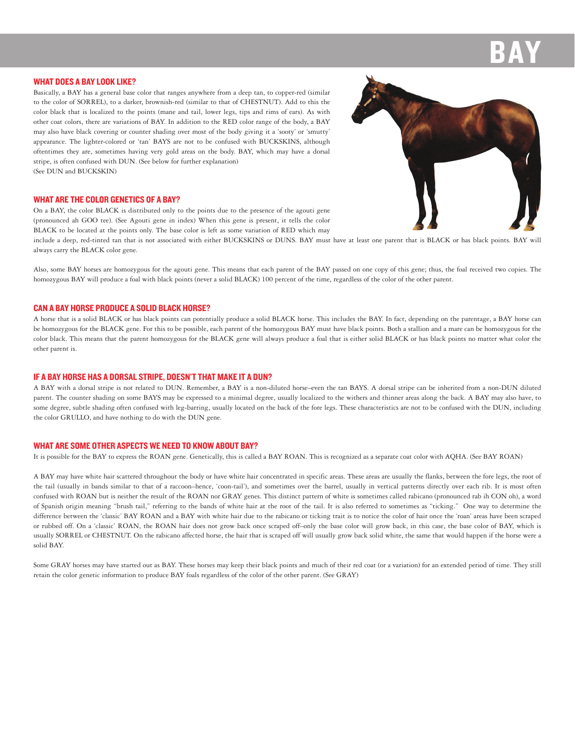#### **WHAT DOES A BAY LOOK LIKE?**

Basically, a BAY has a general base color that ranges anywhere from a deep tan, to copper-red (similar to the color of SORREL), to a darker, brownish-red (similar to that of CHESTNUT). Add to this the color black that is localized to the points (mane and tail, lower legs, tips and rims of ears). As with other coat colors, there are variations of BAY. In addition to the RED color range of the body, a BAY may also have black covering or counter shading over most of the body giving it a 'sooty' or 'smutty' appearance. The lighter-colored or 'tan' BAYS are not to be confused with BUCKSKINS, although oftentimes they are, sometimes having very gold areas on the body. BAY, which may have a dorsal stripe, is often confused with DUN. (See below for further explanation) (See DUN and BUCKSKIN)

#### **WHAT ARE THE COLOR GENETICS OF A BAY?**

On a BAY, the color BLACK is distributed only to the points due to the presence of the agouti gene (pronounced ah GOO tee). (See Agouti gene in index) When this gene is present, it tells the color BLACK to be located at the points only. The base color is left as some variation of RED which may

include a deep, red-tinted tan that is not associated with either BUCKSKINS or DUNS. BAY must have at least one parent that is BLACK or has black points. BAY will always carry the BLACK color gene.

Also, some BAY horses are homozygous for the agouti gene. This means that each parent of the BAY passed on one copy of this gene; thus, the foal received two copies. The homozygous BAY will produce a foal with black points (never a solid BLACK) 100 percent of the time, regardless of the color of the other parent.

#### CAN A RAY HORSE PRODUCE A SOLID BLACK HORSE?

A horse that is a solid BLACK or has black points can potentially produce a solid BLACK horse. This includes the BAY. In fact, depending on the parentage, a BAY horse can be homozygous for the BLACK gene. For this to be possible, each parent of the homozygous BAY must have black points. Both a stallion and a mare can be homozygous for the color black. This means that the parent homozygous for the BLACK gene will always produce a foal that is either solid BLACK or has black points no matter what color the other parent is.

# IF A BAY HORSE HAS A DORSAL STRIPE. DOESN'T THAT MAKE IT A DUN?

A BAY with a dorsal stripe is not related to DUN. Remember, a BAY is a non-diluted horse-even the tan BAYS. A dorsal stripe can be inherited from a non-DUN diluted parent. The counter shading on some BAYS may be expressed to a minimal degree, usually localized to the withers and thinner areas along the back. A BAY may also have, to some degree, subtle shading often confused with leg-barring, usually located on the back of the fore legs. These characteristics are not to be confused with the DUN, including the color GRULLO, and have nothing to do with the DUN gene.

#### **WHAT ARE SOME OTHER ASPECTS WE NEED TO KNOW ABOUT BAY?**

It is possible for the BAY to express the ROAN gene. Genetically, this is called a BAY ROAN. This is recognized as a separate coat color with AQHA. (See BAY ROAN)

A BAY may have white hair scattered throughout the body or have white hair concentrated in specific areas. These areas are usually the flanks, between the fore legs, the root of the tail (usually in bands similar to that of a raccoon-hence, 'coon-tail'), and sometimes over the barrel, usually in vertical patterns directly over each rib. It is most often confused with ROAN but is neither the result of the ROAN nor GRAY genes. This distinct pattern of white is sometimes called rabicano (pronounced rab ih CON oh), a word of Spanish origin meaning "brush tail," referring to the bands of white hair at the root of the tail. It is also referred to sometimes as "ticking." One way to determine the difference between the 'classic' BAY ROAN and a BAY with white hair due to the rabicano or ticking trait is to notice the color of hair once the 'roan' areas have been scraped or rubbed off. On a 'classic' ROAN, the ROAN hair does not grow back once scraped off-only the base color will grow back, in this case, the base color of BAY, which is usually SORREL or CHESTNUT. On the rabicano affected horse, the hair that is scraped off will usually grow back solid white, the same that would happen if the horse were a solid BAY

Some GRAY horses may have started out as BAY. These horses may keep their black points and much of their red coat (or a variation) for an extended period of time. They still retain the color genetic information to produce BAY foals regardless of the color of the other parent. (See GRAY)

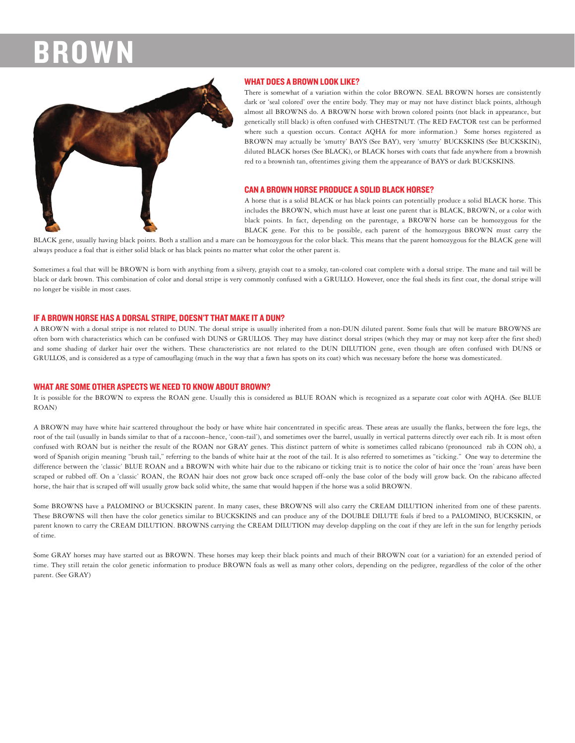

### **WHAT DOES A BROWN LOOK LIKE?**

There is somewhat of a variation within the color BROWN. SEAL BROWN horses are consistently dark or 'seal colored' over the entire body. They may or may not have distinct black points, although almost all BROWNS do. A BROWN horse with brown colored points (not black in appearance, but genetically still black) is often confused with CHESTNUT. (The RED FACTOR test can be performed where such a question occurs. Contact AQHA for more information.) Some horses registered as BROWN may actually be 'smutty' BAYS (See BAY), very 'smutty' BUCKSKINS (See BUCKSKIN), diluted BLACK horses (See BLACK), or BLACK horses with coats that fade anywhere from a brownish red to a brownish tan, oftentimes giving them the appearance of BAYS or dark BUCKSKINS.

# **CAN A BROWN HORSE PRODUCE A SOLID BLACK HORSE?**

A horse that is a solid BLACK or has black points can potentially produce a solid BLACK horse. This includes the BROWN, which must have at least one parent that is BLACK, BROWN, or a color with black points. In fact, depending on the parentage, a BROWN horse can be homozygous for the BLACK gene. For this to be possible, each parent of the homozygous BROWN must carry the

BLACK gene, usually having black points. Both a stallion and a mare can be homozygous for the color black. This means that the parent homozygous for the BLACK gene will always produce a foal that is either solid black or has black points no matter what color the other parent is.

Sometimes a foal that will be BROWN is born with anything from a silvery, grayish coat to a smoky, tan-colored coat complete with a dorsal stripe. The mane and tail will be black or dark brown. This combination of color and dorsal stripe is very commonly confused with a GRULLO. However, once the foal sheds its first coat, the dorsal stripe will no longer be visible in most cases.

# IF A BROWN HORSE HAS A DORSAL STRIPE, DOESN'T THAT MAKE IT A DUN?

A BROWN with a dorsal stripe is not related to DUN. The dorsal stripe is usually inherited from a non-DUN diluted parent. Some foals that will be mature BROWNS are often born with characteristics which can be confused with DUNS or GRULLOS. They may have distinct dorsal stripes (which they may or may not keep after the first shed) and some shading of darker hair over the withers. These characteristics are not related to the DUN DILUTION gene, even though are often confused with DUNS or GRULLOS, and is considered as a type of camouflaging (much in the way that a fawn has spots on its coat) which was necessary before the horse was domesticated.

#### **WHAT ARE SOME OTHER ASPECTS WE NEED TO KNOW ABOUT BROWN?**

It is possible for the BROWN to express the ROAN gene. Usually this is considered as BLUE ROAN which is recognized as a separate coat color with AQHA. (See BLUE ROAN)

A BROWN may have white hair scattered throughout the body or have white hair concentrated in specific areas. These areas are usually the flanks, between the fore legs, the root of the tail (usually in bands similar to that of a raccoon-hence, 'coon-tail'), and sometimes over the barrel, usually in vertical patterns directly over each rib. It is most often confused with ROAN but is neither the result of the ROAN nor GRAY genes. This distinct pattern of white is sometimes called rabicano (pronounced rab ih CON oh), a word of Spanish origin meaning "brush tail," referring to the bands of white hair at the root of the tail. It is also referred to sometimes as "ticking." One way to determine the difference between the 'classic' BLUE ROAN and a BROWN with white hair due to the rabicano or ticking trait is to notice the color of hair once the 'roan' areas have been scraped or rubbed off. On a 'classic' ROAN, the ROAN hair does not grow back once scraped off-only the base color of the body will grow back. On the rabicano affected horse, the hair that is scraped off will usually grow back solid white, the same that would happen if the horse was a solid BROWN.

Some BROWNS have a PALOMINO or BUCKSKIN parent. In many cases, these BROWNS will also carry the CREAM DILUTION inherited from one of these parents. These BROWNS will then have the color genetics similar to BUCKSKINS and can produce any of the DOUBLE DILUTE foals if bred to a PALOMINO, BUCKSKIN, or parent known to carry the CREAM DILUTION. BROWNS carrying the CREAM DILUTION may develop dappling on the coat if they are left in the sun for lengthy periods of time.

Some GRAY horses may have started out as BROWN. These horses may keep their black points and much of their BROWN coat (or a variation) for an extended period of time. They still retain the color genetic information to produce BROWN foals as well as many other colors, depending on the pedigree, regardless of the color of the other parent. (See GRAY)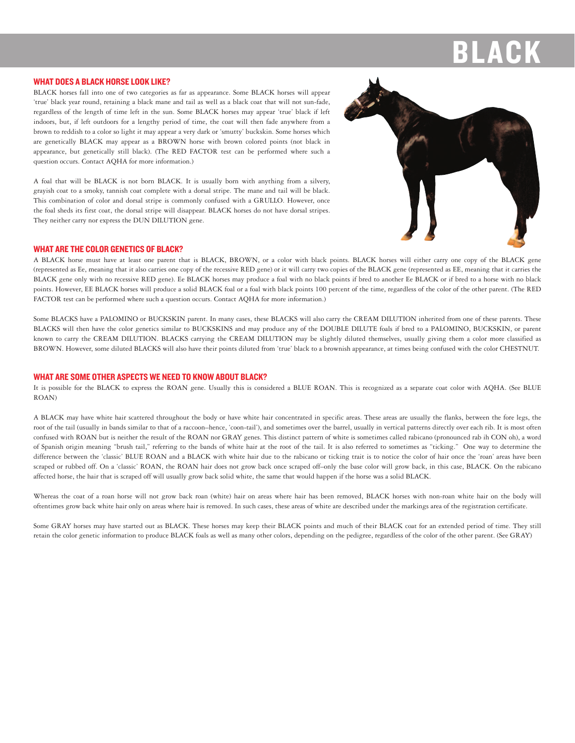#### **WHAT DOES A BLACK HORSE LOOK LIKE?**

BLACK horses fall into one of two categories as far as appearance. Some BLACK horses will appear 'true' black year round, retaining a black mane and tail as well as a black coat that will not sun-fade, regardless of the length of time left in the sun. Some BLACK horses may appear 'true' black if left indoors, but, if left outdoors for a lengthy period of time, the coat will then fade anywhere from a brown to reddish to a color so light it may appear a very dark or 'smutty' buckskin. Some horses which are genetically BLACK may appear as a BROWN horse with brown colored points (not black in appearance, but genetically still black). (The RED FACTOR test can be performed where such a question occurs. Contact AQHA for more information.)

A foal that will be BLACK is not born BLACK. It is usually born with anything from a silvery, grayish coat to a smoky, tannish coat complete with a dorsal stripe. The mane and tail will be black. This combination of color and dorsal stripe is commonly confused with a GRULLO. However, once the foal sheds its first coat, the dorsal stripe will disappear. BLACK horses do not have dorsal stripes. They neither carry nor express the DUN DILUTION gene.



### **WHAT ARE THE COLOR GENETICS OF BLACK?**

A BLACK horse must have at least one parent that is BLACK, BROWN, or a color with black points. BLACK horses will either carry one copy of the BLACK gene (represented as Ee, meaning that it also carries one copy of the recessive RED gene) or it will carry two copies of the BLACK gene (represented as EE, meaning that it carries the BLACK gene only with no recessive RED gene). Ee BLACK horses may produce a foal with no black points if bred to another Ee BLACK or if bred to a horse with no black points. However, EE BLACK horses will produce a solid BLACK foal or a foal with black points 100 percent of the time, regardless of the color of the other parent. (The RED FACTOR test can be performed where such a question occurs. Contact AQHA for more information.)

Some BLACKS have a PALOMINO or BUCKSKIN parent. In many cases, these BLACKS will also carry the CREAM DILUTION inherited from one of these parents. These BLACKS will then have the color genetics similar to BUCKSKINS and may produce any of the DOUBLE DILUTE foals if bred to a PALOMINO, BUCKSKIN, or parent known to carry the CREAM DILUTION. BLACKS carrying the CREAM DILUTION may be slightly diluted themselves, usually giving them a color more classified as BROWN. However, some diluted BLACKS will also have their points diluted from 'true' black to a brownish appearance, at times being confused with the color CHESTNUT.

# **WHAT ARE SOME OTHER ASPECTS WE NEED TO KNOW ABOUT BLACK?**

It is possible for the BLACK to express the ROAN gene. Usually this is considered a BLUE ROAN. This is recognized as a separate coat color with AQHA. (See BLUE ROAN)

A BLACK may have white hair scattered throughout the body or have white hair concentrated in specific areas. These areas are usually the flanks, between the fore legs, the root of the tail (usually in bands similar to that of a raccoon-hence, 'coon-tail'), and sometimes over the barrel, usually in vertical patterns directly over each rib. It is most often confused with ROAN but is neither the result of the ROAN nor GRAY genes. This distinct pattern of white is sometimes called rabicano (pronounced rab ih CON oh), a word of Spanish origin meaning "brush tail," referring to the bands of white hair at the root of the tail. It is also referred to sometimes as "ticking." One way to determine the difference between the 'classic' BLUE ROAN and a BLACK with white hair due to the rabicano or ticking trait is to notice the color of hair once the 'roan' areas have been scraped or rubbed off. On a 'classic' ROAN, the ROAN hair does not grow back once scraped off-only the base color will grow back, in this case, BLACK. On the rabicano affected horse, the hair that is scraped off will usually grow back solid white, the same that would happen if the horse was a solid BLACK.

Whereas the coat of a roan horse will not grow back roan (white) hair on areas where hair has been removed, BLACK horses with non-roan white hair on the body will oftentimes grow back white hair only on areas where hair is removed. In such cases, these areas of white are described under the markings area of the registration certificate.

Some GRAY horses may have started out as BLACK. These horses may keep their BLACK points and much of their BLACK coat for an extended period of time. They still retain the color genetic information to produce BLACK foals as well as many other colors, depending on the pedigree, regardless of the color of the other parent. (See GRAY)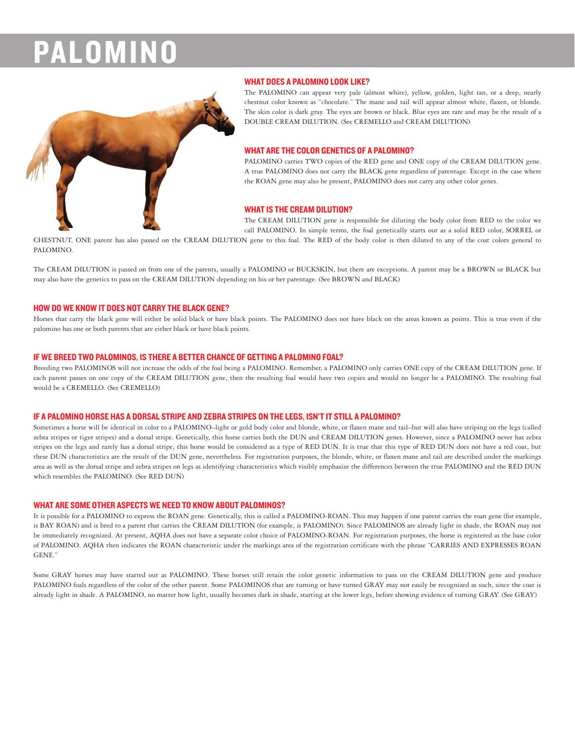# PALOMIN



### **WHAT DOES A PALOMINO LOOK LIKE?**

The PALOMINO can appear very pale (almost white), yellow, golden, light tan, or a deep, nearly chestnut color known as "chocolate." The mane and tail will appear almost white, flaxen, or blonde. The skin color is dark gray. The eyes are brown or black. Blue eyes are rare and may be the result of a DOUBLE CREAM DILUTION. (See CREMELLO and CREAM DILUTION)

# **WHAT ARE THE COLOR GENETICS OF A PALOMINO?**

PALOMINO carries TWO copies of the RED gene and ONE copy of the CREAM DILUTION gene. A true PALOMINO does not carry the BLACK gene regardless of parentage. Except in the case where the ROAN gene may also be present, PALOMINO does not carry any other color genes.

# **WHAT IS THE CREAM DILUTION?**

The CREAM DILUTION gene is responsible for diluting the body color from RED to the color we call PALOMINO. In simple terms, the foal genetically starts out as a solid RED color, SORREL or

CHESTNUT. ONE parent has also passed on the CREAM DILUTION gene to this foal. The RED of the body color is then diluted to any of the coat colors general to PALOMINO.

The CREAM DILUTION is passed on from one of the parents, usually a PALOMINO or BUCKSKIN, but there are exceptions. A parent may be a BROWN or BLACK but may also have the genetics to pass on the CREAM DILUTION depending on his or her parentage. (See BROWN and BLACK)

## HOW DO WE KNOW IT DOES NOT CARRY THE BLACK GENE?

Horses that carry the black gene will either be solid black or have black points. The PALOMINO does not have black on the areas known as points. This is true even if the palomino has one or both parents that are either black or have black points.

### IF WE BREED TWO PALOMINOS, IS THERE A BETTER CHANCE OF GETTING A PALOMINO FOAL?

Breeding two PALOMINOS will not increase the odds of the foal being a PALOMINO. Remember, a PALOMINO only carries ONE copy of the CREAM DILUTION gene. If each parent passes on one copy of the CREAM DILUTION gene, then the resulting foal would have two copies and would no longer be a PALOMINO. The resulting foal would be a CREMELLO. (See CREMELLO)

### IF A PALOMINO HORSE HAS A DORSAL STRIPE AND ZEBRA STRIPES ON THE LEGS, ISN'T IT STILL A PALOMINO?

Sometimes a horse will be identical in color to a PALOMINO-light or gold body color and blonde, white, or flaxen mane and tail-but will also have striping on the legs (called zebra stripes or tiger stripes) and a dorsal stripe. Genetically, this horse carries both the DUN and CREAM DILUTION genes. However, since a PALOMINO never has zebra stripes on the legs and rarely has a dorsal stripe, this horse would be considered as a type of RED DUN. It is true that this type of RED DUN does not have a red coat, but these DUN characteristics are the result of the DUN gene, nevertheless. For registration purposes, the blonde, white, or flaxen mane and tail are described under the markings area as well as the dorsal stripe and zebra stripes on legs as identifying characteristics which visibly emphasize the differences between the true PALOMINO and the RED DUN which resembles the PALOMINO. (See RED DUN)

#### WHAT ARE SOME OTHER ASPECTS WE NEED TO KNOW ABOUT PALOMINOS?

It is possible for a PALOMINO to express the ROAN gene. Genetically, this is called a PALOMINO-ROAN. This may happen if one parent carries the roan gene (for example, is BAY ROAN) and is bred to a parent that carries the CREAM DILUTION (for example, is PALOMINO). Since PALOMINOS are already light in shade, the ROAN may not be immediately recognized. At present, AQHA does not have a separate color choice of PALOMINO-ROAN. For registration purposes, the horse is registered as the base color of PALOMINO. AQHA then indicates the ROAN characteristic under the markings area of the registration certificate with the phrase "CARRIES AND EXPRESSES ROAN GENE."

Some GRAY horses may have started out as PALOMINO. These horses still retain the color genetic information to pass on the CREAM DILUTION gene and produce PALOMINO foals regardless of the color of the other parent. Some PALOMINOS that are turning or have turned GRAY may not easily be recognized as such, since the coat is already light in shade. A PALOMINO, no matter how light, usually becomes dark in shade, starting at the lower legs, before showing evidence of turning GRAY. (See GRAY)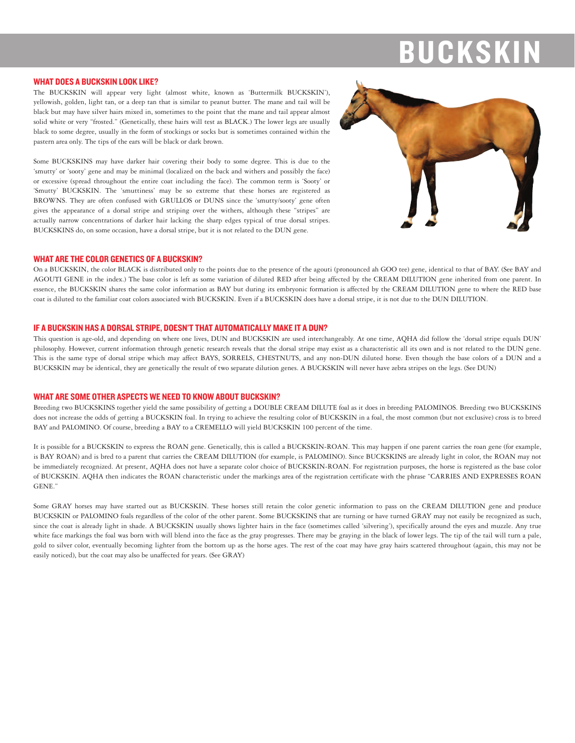# **BUCKSK**

#### **WHAT DOES A BUCKSKIN LOOK LIKE?**

The BUCKSKIN will appear very light (almost white, known as 'Buttermilk BUCKSKIN'), yellowish, golden, light tan, or a deep tan that is similar to peanut butter. The mane and tail will be black but may have silver hairs mixed in, sometimes to the point that the mane and tail appear almost solid white or very "frosted." (Genetically, these hairs will test as BLACK.) The lower legs are usually black to some degree, usually in the form of stockings or socks but is sometimes contained within the pastern area only. The tips of the ears will be black or dark brown.

Some BUCKSKINS may have darker hair covering their body to some degree. This is due to the 'smutty' or 'sooty' gene and may be minimal (localized on the back and withers and possibly the face) or excessive (spread throughout the entire coat including the face). The common term is 'Sooty' or 'Smutty' BUCKSKIN. The 'smuttiness' may be so extreme that these horses are registered as BROWNS. They are often confused with GRULLOS or DUNS since the 'smutty/sooty' gene often gives the appearance of a dorsal stripe and striping over the withers, although these "stripes" are actually narrow concentrations of darker hair lacking the sharp edges typical of true dorsal stripes. BUCKSKINS do, on some occasion, have a dorsal stripe, but it is not related to the DUN gene.



## **WHAT ARE THE COLOR GENETICS OF A BUCKSKIN?**

On a BUCKSKIN, the color BLACK is distributed only to the points due to the presence of the agouti (pronounced ah GOO tee) gene, identical to that of BAY. (See BAY and AGOUTI GENE in the index.) The base color is left as some variation of diluted RED after being affected by the CREAM DILUTION gene inherited from one parent. In essence, the BUCKSKIN shares the same color information as BAY but during its embryonic formation is affected by the CREAM DILUTION gene to where the RED base coat is diluted to the familiar coat colors associated with BUCKSKIN. Even if a BUCKSKIN does have a dorsal stripe, it is not due to the DUN DILUTION.

#### IF A BUCKSKIN HAS A DORSAL STRIPE. DOESN'T THAT AUTOMATICALLY MAKE IT A DUN?

This question is age-old, and depending on where one lives, DUN and BUCKSKIN are used interchangeably. At one time, AQHA did follow the 'dorsal stripe equals DUN' philosophy. However, current information through genetic research reveals that the dorsal stripe may exist as a characteristic all its own and is not related to the DUN gene. This is the same type of dorsal stripe which may affect BAYS, SORRELS, CHESTNUTS, and any non-DUN diluted horse. Even though the base colors of a DUN and a BUCKSKIN may be identical, they are genetically the result of two separate dilution genes. A BUCKSKIN will never have zebra stripes on the legs. (See DUN)

#### **WHAT ARE SOME OTHER ASPECTS WE NEED TO KNOW ABOUT BUCKSKIN?**

Breeding two BUCKSKINS together yield the same possibility of getting a DOUBLE CREAM DILUTE foal as it does in breeding PALOMINOS. Breeding two BUCKSKINS does not increase the odds of getting a BUCKSKIN foal. In trying to achieve the resulting color of BUCKSKIN in a foal, the most common (but not exclusive) cross is to breed BAY and PALOMINO. Of course, breeding a BAY to a CREMELLO will yield BUCKSKIN 100 percent of the time.

It is possible for a BUCKSKIN to express the ROAN gene. Genetically, this is called a BUCKSKIN-ROAN. This may happen if one parent carries the roan gene (for example, is BAY ROAN) and is bred to a parent that carries the CREAM DILUTION (for example, is PALOMINO). Since BUCKSKINS are already light in color, the ROAN may not be immediately recognized. At present, AQHA does not have a separate color choice of BUCKSKIN-ROAN. For registration purposes, the horse is registered as the base color of BUCKSKIN. AQHA then indicates the ROAN characteristic under the markings area of the registration certificate with the phrase "CARRIES AND EXPRESSES ROAN GENE<sup>"</sup>

Some GRAY horses may have started out as BUCKSKIN. These horses still retain the color genetic information to pass on the CREAM DILUTION gene and produce BUCKSKIN or PALOMINO foals regardless of the color of the other parent. Some BUCKSKINS that are turning or have turned GRAY may not easily be recognized as such, since the coat is already light in shade. A BUCKSKIN usually shows lighter hairs in the face (sometimes called 'silvering'), specifically around the eves and muzzle. Any true white face markings the foal was born with will blend into the face as the gray progresses. There may be graying in the black of lower legs. The tip of the tail will turn a pale, gold to silver color, eventually becoming lighter from the bottom up as the horse ages. The rest of the coat may have gray hairs scattered throughout (again, this may not be easily noticed), but the coat may also be unaffected for years. (See GRAY)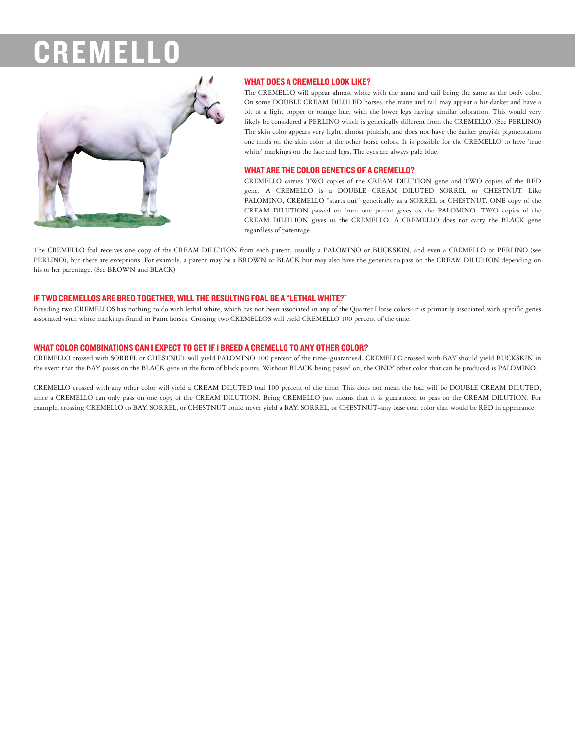

# **WHAT DOES A CREMELLO LOOK LIKE?**

The CREMELLO will appear almost white with the mane and tail being the same as the body color. On some DOUBLE CREAM DILUTED horses, the mane and tail may appear a bit darker and have a bit of a light copper or orange hue, with the lower legs having similar coloration. This would very likely be considered a PERLINO which is genetically different from the CREMELLO. (See PERLINO) The skin color appears very light, almost pinkish, and does not have the darker grayish pigmentation one finds on the skin color of the other horse colors. It is possible for the CREMELLO to have 'true white' markings on the face and legs. The eyes are always pale blue.

# **WHAT ARE THE COLOR GENETICS OF A CREMELLO?**

CREMELLO carries TWO copies of the CREAM DILUTION gene and TWO copies of the RED gene. A CREMELLO is a DOUBLE CREAM DILUTED SORREL or CHESTNUT. Like PALOMINO, CREMELLO "starts out" genetically as a SORREL or CHESTNUT. ONE copy of the CREAM DILUTION passed on from one parent gives us the PALOMINO. TWO copies of the CREAM DILUTION gives us the CREMELLO. A CREMELLO does not carry the BLACK gene regardless of parentage.

The CREMELLO foal receives one copy of the CREAM DILUTION from each parent, usually a PALOMINO or BUCKSKIN, and even a CREMELLO or PERLINO (see PERLINO), but there are exceptions. For example, a parent may be a BROWN or BLACK but may also have the genetics to pass on the CREAM DILUTION depending on his or her parentage. (See BROWN and BLACK)

# IF TWO CREMELLOS ARE BRED TOGETHER, WILL THE RESULTING FOAL BE A "LETHAL WHITE?"

Breeding two CREMELLOS has nothing to do with lethal white, which has not been associated in any of the Quarter Horse colors-it is primarily associated with specific genes associated with white markings found in Paint horses. Crossing two CREMELLOS will yield CREMELLO 100 percent of the time.

# WHAT COLOR COMBINATIONS CAN I EXPECT TO GET IF I BREED A CREMELLO TO ANY OTHER COLOR?

CREMELLO crossed with SORREL or CHESTNUT will yield PALOMINO 100 percent of the time-guaranteed. CREMELLO crossed with BAY should yield BUCKSKIN in the event that the BAY passes on the BLACK gene in the form of black points. Without BLACK being passed on, the ONLY other color that can be produced is PALOMINO.

CREMELLO crossed with any other color will yield a CREAM DILUTED foal 100 percent of the time. This does not mean the foal will be DOUBLE CREAM DILUTED, since a CREMELLO can only pass on one copy of the CREAM DILUTION. Being CREMELLO just means that it is guaranteed to pass on the CREAM DILUTION. For example, crossing CREMELLO to BAY, SORREL, or CHESTNUT could never yield a BAY, SORREL, or CHESTNUT-any base coat color that would be RED in appearance.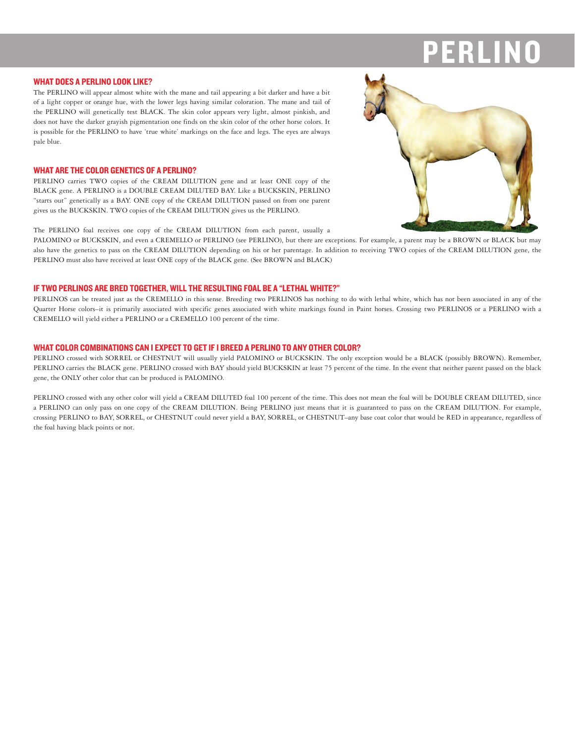#### **WHAT DOES A PERLINO LOOK LIKE?**

The PERLINO will appear almost white with the mane and tail appearing a bit darker and have a bit of a light copper or orange hue, with the lower legs having similar coloration. The mane and tail of the PERLINO will genetically test BLACK. The skin color appears very light, almost pinkish, and does not have the darker grayish pigmentation one finds on the skin color of the other horse colors. It is possible for the PERLINO to have 'true white' markings on the face and legs. The eyes are always pale blue.

# **WHAT ARE THE COLOR GENETICS OF A PERLINO?**

PERLINO carries TWO copies of the CREAM DILUTION gene and at least ONE copy of the BLACK gene. A PERLINO is a DOUBLE CREAM DILUTED BAY. Like a BUCKSKIN, PERLINO "starts out" genetically as a BAY. ONE copy of the CREAM DILUTION passed on from one parent gives us the BUCKSKIN. TWO copies of the CREAM DILUTION gives us the PERLINO.

The PERLINO foal receives one copy of the CREAM DILUTION from each parent, usually a

PALOMINO or BUCKSKIN, and even a CREMELLO or PERLINO (see PERLINO), but there are exceptions. For example, a parent may be a BROWN or BLACK but may also have the genetics to pass on the CREAM DILUTION depending on his or her parentage. In addition to receiving TWO copies of the CREAM DILUTION gene, the PERLINO must also have received at least ONE copy of the BLACK gene. (See BROWN and BLACK)

# IF TWO PERLINOS ARE BRED TOGETHER, WILL THE RESULTING FOAL BE A "LETHAL WHITE?"

PERLINOS can be treated just as the CREMELLO in this sense. Breeding two PERLINOS has nothing to do with lethal white, which has not been associated in any of the Quarter Horse colors-it is primarily associated with specific genes associated with white markings found in Paint horses. Crossing two PERLINOS or a PERLINO with a CREMELLO will yield either a PERLINO or a CREMELLO 100 percent of the time.

# WHAT COLOR COMBINATIONS CAN I EXPECT TO GET IF I BREED A PERLINO TO ANY OTHER COLOR?

PERLINO crossed with SORREL or CHESTNUT will usually yield PALOMINO or BUCKSKIN. The only exception would be a BLACK (possibly BROWN). Remember, PERLINO carries the BLACK gene. PERLINO crossed with BAY should yield BUCKSKIN at least 75 percent of the time. In the event that neither parent passed on the black gene, the ONLY other color that can be produced is PALOMINO.

PERLINO crossed with any other color will yield a CREAM DILUTED foal 100 percent of the time. This does not mean the foal will be DOUBLE CREAM DILUTED, since a PERLINO can only pass on one copy of the CREAM DILUTION. Being PERLINO just means that it is guaranteed to pass on the CREAM DILUTION. For example, crossing PERLINO to BAY, SORREL, or CHESTNUT could never yield a BAY, SORREL, or CHESTNUT-any base coat color that would be RED in appearance, regardless of the foal having black points or not.

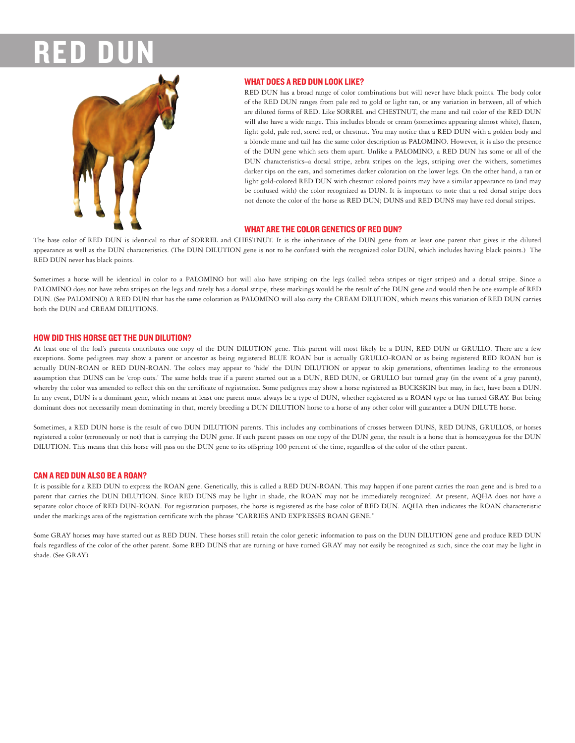

# **WHAT DOES A RED DUN LOOK LIKE?**

RED DUN has a broad range of color combinations but will never have black points. The body color of the RED DUN ranges from pale red to gold or light tan, or any variation in between, all of which are diluted forms of RED. Like SORREL and CHESTNUT, the mane and tail color of the RED DUN will also have a wide range. This includes blonde or cream (sometimes appearing almost white), flaxen, light gold, pale red, sorrel red, or chestnut. You may notice that a RED DUN with a golden body and a blonde mane and tail has the same color description as PALOMINO. However, it is also the presence of the DUN gene which sets them apart. Unlike a PALOMINO, a RED DUN has some or all of the DUN characteristics-a dorsal stripe, zebra stripes on the legs, striping over the withers, sometimes darker tips on the ears, and sometimes darker coloration on the lower legs. On the other hand, a tan or light gold-colored RED DUN with chestnut colored points may have a similar appearance to (and may be confused with) the color recognized as DUN. It is important to note that a red dorsal stripe does not denote the color of the horse as RED DUN; DUNS and RED DUNS may have red dorsal stripes.

# **WHAT ARE THE COLOR GENETICS OF RED DUN?**

The base color of RED DUN is identical to that of SORREL and CHESTNUT. It is the inheritance of the DUN gene from at least one parent that gives it the diluted appearance as well as the DUN characteristics. (The DUN DILUTION gene is not to be confused with the recognized color DUN, which includes having black points.) The RED DUN never has black points.

Sometimes a horse will be identical in color to a PALOMINO but will also have striping on the legs (called zebra stripes or tiger stripes) and a dorsal stripe. Since a PALOMINO does not have zebra stripes on the legs and rarely has a dorsal stripe, these markings would be the result of the DUN gene and would then be one example of RED DUN. (See PALOMINO) A RED DUN that has the same coloration as PALOMINO will also carry the CREAM DILUTION, which means this variation of RED DUN carries both the DUN and CREAM DILUTIONS.

# **HOW DID THIS HORSE GET THE DUN DILUTION?**

At least one of the foal's parents contributes one copy of the DUN DILUTION gene. This parent will most likely be a DUN, RED DUN or GRULLO. There are a few exceptions. Some pedigrees may show a parent or ancestor as being registered BLUE ROAN but is actually GRULLO-ROAN or as being registered RED ROAN but is actually DUN-ROAN or RED DUN-ROAN. The colors may appear to 'hide' the DUN DILUTION or appear to skip generations, oftentimes leading to the erroneous assumption that DUNS can be 'crop outs.' The same holds true if a parent started out as a DUN, RED DUN, or GRULLO but turned gray (in the event of a gray parent), whereby the color was amended to reflect this on the certificate of registration. Some pedigrees may show a horse registered as BUCKSKIN but may, in fact, have been a DUN. In any event, DUN is a dominant gene, which means at least one parent must always be a type of DUN, whether registered as a ROAN type or has turned GRAY. But being dominant does not necessarily mean dominating in that, merely breeding a DUN DILUTION horse to a horse of any other color will guarantee a DUN DILUTE horse.

Sometimes, a RED DUN horse is the result of two DUN DILUTION parents. This includes any combinations of crosses between DUNS, RED DUNS, GRULLOS, or horses registered a color (erroneously or not) that is carrying the DUN gene. If each parent passes on one copy of the DUN gene, the result is a horse that is homozygous for the DUN DILUTION. This means that this horse will pass on the DUN gene to its offspring 100 percent of the time, regardless of the color of the other parent.

# **CAN A RED DUN ALSO BE A ROAN?**

It is possible for a RED DUN to express the ROAN gene. Genetically, this is called a RED DUN-ROAN. This may happen if one parent carries the roan gene and is bred to a parent that carries the DUN DILUTION. Since RED DUNS may be light in shade, the ROAN may not be immediately recognized. At present, AQHA does not have a separate color choice of RED DUN-ROAN. For registration purposes, the horse is registered as the base color of RED DUN. AQHA then indicates the ROAN characteristic under the markings area of the registration certificate with the phrase "CARRIES AND EXPRESSES ROAN GENE."

Some GRAY horses may have started out as RED DUN. These horses still retain the color genetic information to pass on the DUN DILUTION gene and produce RED DUN foals regardless of the color of the other parent. Some RED DUNS that are turning or have turned GRAY may not easily be recognized as such, since the coat may be light in shade. (See GRAY)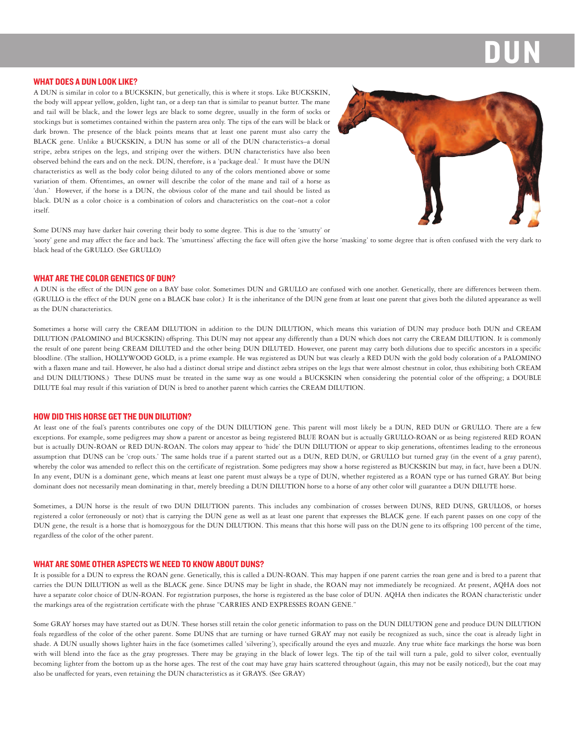#### **WHAT DOES A DUN LOOK LIKE?**

A DUN is similar in color to a BUCKSKIN, but genetically, this is where it stops. Like BUCKSKIN, the body will appear yellow, golden, light tan, or a deep tan that is similar to peanut butter. The mane and tail will be black, and the lower legs are black to some degree, usually in the form of socks or stockings but is sometimes contained within the pastern area only. The tips of the ears will be black or dark brown. The presence of the black points means that at least one parent must also carry the BLACK gene. Unlike a BUCKSKIN, a DUN has some or all of the DUN characteristics-a dorsal stripe, zebra stripes on the legs, and striping over the withers. DUN characteristics have also been observed behind the ears and on the neck. DUN, therefore, is a 'package deal.' It must have the DUN characteristics as well as the body color being diluted to any of the colors mentioned above or some variation of them. Oftentimes, an owner will describe the color of the mane and tail of a horse as 'dun.' However, if the horse is a DUN, the obvious color of the mane and tail should be listed as black. DUN as a color choice is a combination of colors and characteristics on the coat-not a color itself.



Some DUNS may have darker hair covering their body to some degree. This is due to the 'smutty' or

'sooty' gene and may affect the face and back. The 'smuttiness' affecting the face will often give the horse 'masking' to some degree that is often confused with the very dark to black head of the GRULLO. (See GRULLO)

# **WHAT ARE THE COLOR GENETICS OF DUN?**

A DUN is the effect of the DUN gene on a BAY base color. Sometimes DUN and GRULLO are confused with one another. Genetically, there are differences between them. (GRULLO is the effect of the DUN gene on a BLACK base color.) It is the inheritance of the DUN gene from at least one parent that gives both the diluted appearance as well as the DUN characteristics.

Sometimes a horse will carry the CREAM DILUTION in addition to the DUN DILUTION, which means this variation of DUN may produce both DUN and CREAM DILUTION (PALOMINO and BUCKSKIN) offspring. This DUN may not appear any differently than a DUN which does not carry the CREAM DILUTION. It is commonly the result of one parent being CREAM DILUTED and the other being DUN DILUTED. However, one parent may carry both dilutions due to specific ancestors in a specific bloodline. (The stallion, HOLLYWOOD GOLD, is a prime example. He was registered as DUN but was clearly a RED DUN with the gold body coloration of a PALOMINO with a flaxen mane and tail. However, he also had a distinct dorsal stripe and distinct zebra stripes on the legs that were almost chestnut in color, thus exhibiting both CREAM and DUN DILUTIONS.) These DUNS must be treated in the same way as one would a BUCKSKIN when considering the potential color of the offspring; a DOUBLE DILUTE foal may result if this variation of DUN is bred to another parent which carries the CREAM DILUTION.

### **HOW DID THIS HORSE GET THE DUN DILUTION?**

At least one of the foal's parents contributes one copy of the DUN DILUTION gene. This parent will most likely be a DUN, RED DUN or GRULLO. There are a few exceptions. For example, some pedigrees may show a parent or ancestor as being registered BLUE ROAN but is actually GRULLO-ROAN or as being registered RED ROAN but is actually DUN-ROAN or RED DUN-ROAN. The colors may appear to 'hide' the DUN DILUTION or appear to skip generations, oftentimes leading to the erroneous assumption that DUNS can be 'crop outs.' The same holds true if a parent started out as a DUN, RED DUN, or GRULLO but turned gray (in the event of a gray parent), whereby the color was amended to reflect this on the certificate of registration. Some pedigrees may show a horse registered as BUCKSKIN but may, in fact, have been a DUN. In any event, DUN is a dominant gene, which means at least one parent must always be a type of DUN, whether registered as a ROAN type or has turned GRAY. But being dominant does not necessarily mean dominating in that, merely breeding a DUN DILUTION horse to a horse of any other color will guarantee a DUN DILUTE horse.

Sometimes, a DUN horse is the result of two DUN DILUTION parents. This includes any combination of crosses between DUNS, RED DUNS, GRULLOS, or horses registered a color (erroneously or not) that is carrying the DUN gene as well as at least one parent that expresses the BLACK gene. If each parent passes on one copy of the DUN gene, the result is a horse that is homozygous for the DUN DILUTION. This means that this horse will pass on the DUN gene to its offspring 100 percent of the time, regardless of the color of the other parent.

#### **WHAT ARE SOME OTHER ASPECTS WE NEED TO KNOW ABOUT DUNS?**

It is possible for a DUN to express the ROAN gene. Genetically, this is called a DUN-ROAN. This may happen if one parent carries the roan gene and is bred to a parent that carries the DUN DILUTION as well as the BLACK gene. Since DUNS may be light in shade, the ROAN may not immediately be recognized. At present, AQHA does not have a separate color choice of DUN-ROAN. For registration purposes, the horse is registered as the base color of DUN. AQHA then indicates the ROAN characteristic under the markings area of the registration certificate with the phrase "CARRIES AND EXPRESSES ROAN GENE."

Some GRAY horses may have started out as DUN. These horses still retain the color genetic information to pass on the DUN DILUTION gene and produce DUN DILUTION foals regardless of the color of the other parent. Some DUNS that are turning or have turned GRAY may not easily be recognized as such, since the coat is already light in shade. A DUN usually shows lighter hairs in the face (sometimes called 'silvering'), specifically around the eyes and muzzle. Any true white face markings the horse was born with will blend into the face as the gray progresses. There may be graying in the black of lower legs. The tip of the tail will turn a pale, gold to silver color, eventually becoming lighter from the bottom up as the horse ages. The rest of the coat may have gray hairs scattered throughout (again, this may not be easily noticed), but the coat may also be unaffected for years, even retaining the DUN characteristics as it GRAYS. (See GRAY)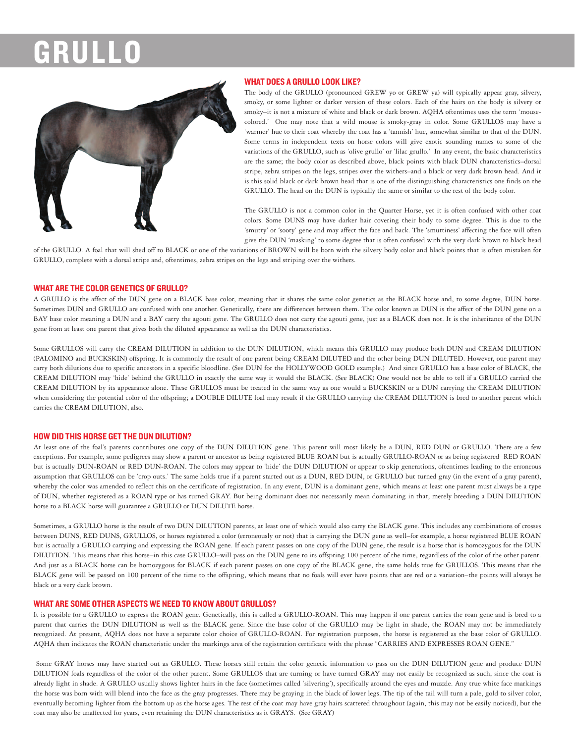# GRUI



# **WHAT DOES A GRULLO LOOK LIKE?**

The body of the GRULLO (pronounced GREW yo or GREW ya) will typically appear gray, silvery, smoky, or some lighter or darker version of these colors. Each of the hairs on the body is silvery or smoky-it is not a mixture of white and black or dark brown. AQHA oftentimes uses the term 'mousecolored.' One may note that a wild mouse is smoky-gray in color. Some GRULLOS may have a 'warmer' hue to their coat whereby the coat has a 'tannish' hue, somewhat similar to that of the DUN. Some terms in independent texts on horse colors will give exotic sounding names to some of the variations of the GRULLO, such as 'olive grullo' or 'lilac grullo.' In any event, the basic characteristics are the same; the body color as described above, black points with black DUN characteristics-dorsal stripe, zebra stripes on the legs, stripes over the withers-and a black or very dark brown head. And it is this solid black or dark brown head that is one of the distinguishing characteristics one finds on the GRULLO. The head on the DUN is typically the same or similar to the rest of the body color.

The GRULLO is not a common color in the Quarter Horse, yet it is often confused with other coat colors. Some DUNS may have darker hair covering their body to some degree. This is due to the 'smutty' or 'sooty' gene and may affect the face and back. The 'smuttiness' affecting the face will often give the DUN 'masking' to some degree that is often confused with the very dark brown to black head

of the GRULLO. A foal that will shed off to BLACK or one of the variations of BROWN will be born with the silvery body color and black points that is often mistaken for GRULLO, complete with a dorsal stripe and, oftentimes, zebra stripes on the legs and striping over the withers.

# **WHAT ARE THE COLOR GENETICS OF GRULLO?**

A GRULLO is the affect of the DUN gene on a BLACK base color, meaning that it shares the same color genetics as the BLACK horse and, to some degree, DUN horse. Sometimes DUN and GRULLO are confused with one another. Genetically, there are differences between them. The color known as DUN is the affect of the DUN gene on a BAY base color meaning a DUN and a BAY carry the agouti gene. The GRULLO does not carry the agouti gene, just as a BLACK does not. It is the inheritance of the DUN gene from at least one parent that gives both the diluted appearance as well as the DUN characteristics.

Some GRULLOS will carry the CREAM DILUTION in addition to the DUN DILUTION, which means this GRULLO may produce both DUN and CREAM DILUTION (PALOMINO and BUCKSKIN) offspring. It is commonly the result of one parent being CREAM DILUTED and the other being DUN DILUTED. However, one parent may carry both dilutions due to specific ancestors in a specific bloodline. (See DUN for the HOLLYWOOD GOLD example.) And since GRULLO has a base color of BLACK, the CREAM DILUTION may 'hide' behind the GRULLO in exactly the same way it would the BLACK. (See BLACK) One would not be able to tell if a GRULLO carried the CREAM DILUTION by its appearance alone. These GRULLOS must be treated in the same way as one would a BUCKSKIN or a DUN carrying the CREAM DILUTION when considering the potential color of the offspring; a DOUBLE DILUTE foal may result if the GRULLO carrying the CREAM DILUTION is bred to another parent which carries the CREAM DILUTION, also.

### **HOW DID THIS HORSE GET THE DUN DILUTION?**

At least one of the foal's parents contributes one copy of the DUN DILUTION gene. This parent will most likely be a DUN, RED DUN or GRULLO. There are a few exceptions. For example, some pedigrees may show a parent or ancestor as being registered BLUE ROAN but is actually GRULLO-ROAN or as being registered RED ROAN but is actually DUN-ROAN or RED DUN-ROAN. The colors may appear to 'hide' the DUN DILUTION or appear to skip generations, oftentimes leading to the erroneous assumption that GRULLOS can be 'crop outs.' The same holds true if a parent started out as a DUN, RED DUN, or GRULLO but turned gray (in the event of a gray parent), whereby the color was amended to reflect this on the certificate of registration. In any event, DUN is a dominant gene, which means at least one parent must always be a type of DUN, whether registered as a ROAN type or has turned GRAY. But being dominant does not necessarily mean dominating in that, merely breeding a DUN DILUTION horse to a BLACK horse will guarantee a GRULLO or DUN DILUTE horse.

Sometimes, a GRULLO horse is the result of two DUN DILUTION parents, at least one of which would also carry the BLACK gene. This includes any combinations of crosses between DUNS, RED DUNS, GRULLOS, or horses registered a color (erroneously or not) that is carrying the DUN gene as well-for example, a horse registered BLUE ROAN but is actually a GRULLO carrying and expressing the ROAN gene. If each parent passes on one copy of the DUN gene, the result is a horse that is homozygous for the DUN DILUTION. This means that this horse-in this case GRULLO-will pass on the DUN gene to its offspring 100 percent of the time, regardless of the color of the other parent. And just as a BLACK horse can be homozygous for BLACK if each parent passes on one copy of the BLACK gene, the same holds true for GRULLOS. This means that the BLACK gene will be passed on 100 percent of the time to the offspring, which means that no foals will ever have points that are red or a variation-the points will always be black or a very dark brown.

#### WHAT ARE SOME OTHER ASPECTS WE NEED TO KNOW ABOUT GRULLOS?

It is possible for a GRULLO to express the ROAN gene. Genetically, this is called a GRULLO-ROAN. This may happen if one parent carries the roan gene and is bred to a parent that carries the DUN DILUTION as well as the BLACK gene. Since the base color of the GRULLO may be light in shade, the ROAN may not be immediately recognized. At present, AQHA does not have a separate color choice of GRULLO-ROAN. For registration purposes, the horse is registered as the base color of GRULLO. AQHA then indicates the ROAN characteristic under the markings area of the registration certificate with the phrase "CARRIES AND EXPRESSES ROAN GENE."

Some GRAY horses may have started out as GRULLO. These horses still retain the color genetic information to pass on the DUN DILUTION gene and produce DUN DILUTION foals regardless of the color of the other parent. Some GRULLOS that are turning or have turned GRAY may not easily be recognized as such, since the coat is already light in shade. A GRULLO usually shows lighter hairs in the face (sometimes called 'silvering'), specifically around the eyes and muzzle. Any true white face markings the horse was born with will blend into the face as the gray progresses. There may be graying in the black of lower legs. The tip of the tail will turn a pale, gold to silver color, eventually becoming lighter from the bottom up as the horse ages. The rest of the coat may have gray hairs scattered throughout (again, this may not be easily noticed), but the coat may also be unaffected for years, even retaining the DUN characteristics as it GRAYS. (See GRAY)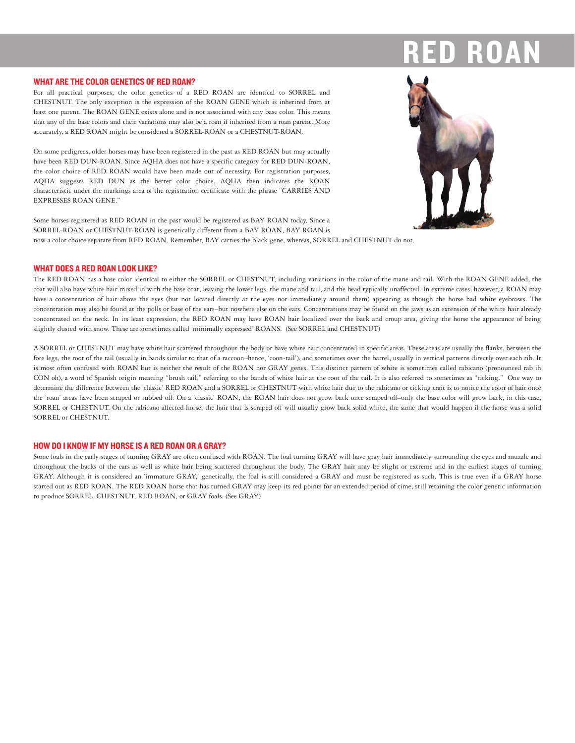#### **WHAT ARE THE COLOR GENETICS OF RED ROAN?**



For all practical purposes, the color genetics of a RED ROAN are identical to SORREL and CHESTNUT. The only exception is the expression of the ROAN GENE which is inherited from at least one parent. The ROAN GENE exists alone and is not associated with any base color. This means that any of the base colors and their variations may also be a roan if inherited from a roan parent. More accurately, a RED ROAN might be considered a SORREL-ROAN or a CHESTNUT-ROAN.

On some pedigrees, older horses may have been registered in the past as RED ROAN but may actually have been RED DUN-ROAN. Since AQHA does not have a specific category for RED DUN-ROAN, the color choice of RED ROAN would have been made out of necessity. For registration purposes, AQHA suggests RED DUN as the better color choice. AQHA then indicates the ROAN characteristic under the markings area of the registration certificate with the phrase "CARRIES AND **EXPRESSES ROAN GENE."** 

Some horses registered as RED ROAN in the past would be registered as BAY ROAN today. Since a SORREL-ROAN or CHESTNUT-ROAN is genetically different from a BAY ROAN, BAY ROAN is now a color choice separate from RED ROAN. Remember, BAY carries the black gene, whereas, SORREL and CHESTNUT do not.

# **WHAT DOES A RED ROAN LOOK LIKE?**

The RED ROAN has a base color identical to either the SORREL or CHESTNUT, including variations in the color of the mane and tail. With the ROAN GENE added, the coat will also have white hair mixed in with the base coat, leaving the lower legs, the mane and tail, and the head typically unaffected. In extreme cases, however, a ROAN may have a concentration of hair above the eyes (but not located directly at the eyes nor immediately around them) appearing as though the horse had white eyebrows. The concentration may also be found at the polls or base of the ears-but nowhere else on the ears. Concentrations may be found on the jaws as an extension of the white hair already concentrated on the neck. In its least expression, the RED ROAN may have ROAN hair localized over the back and croup area, giving the horse the appearance of being slightly dusted with snow. These are sometimes called 'minimally expressed' ROANS. (See SORREL and CHESTNUT)

A SORREL or CHESTNUT may have white hair scattered throughout the body or have white hair concentrated in specific areas. These areas are usually the flanks, between the fore legs, the root of the tail (usually in bands similar to that of a raccoon-hence, 'coon-tail'), and sometimes over the barrel, usually in vertical patterns directly over each rib. It is most often confused with ROAN but is neither the result of the ROAN nor GRAY genes. This distinct pattern of white is sometimes called rabicano (pronounced rab ih CON oh), a word of Spanish origin meaning "brush tail," referring to the bands of white hair at the root of the tail. It is also referred to sometimes as "ticking." One way to determine the difference between the 'classic' RED ROAN and a SORREL or CHESTNUT with white hair due to the rabicano or ticking trait is to notice the color of hair once the 'roan' areas have been scraped or rubbed off. On a 'classic' ROAN, the ROAN hair does not grow back once scraped off-only the base color will grow back, in this case, SORREL or CHESTNUT. On the rabicano affected horse, the hair that is scraped off will usually grow back solid white, the same that would happen if the horse was a solid SORREL or CHESTNUT.

#### HOW DO I KNOW IF MY HORSE IS A RED ROAN OR A GRAY?

Some foals in the early stages of turning GRAY are often confused with ROAN. The foal turning GRAY will have gray hair immediately surrounding the eyes and muzzle and throughout the backs of the ears as well as white hair being scattered throughout the body. The GRAY hair may be slight or extreme and in the earliest stages of turning GRAY. Although it is considered an 'immature GRAY,' genetically, the foal is still considered a GRAY and must be registered as such. This is true even if a GRAY horse started out as RED ROAN. The RED ROAN horse that has turned GRAY may keep its red points for an extended period of time, still retaining the color genetic information to produce SORREL, CHESTNUT, RED ROAN, or GRAY foals. (See GRAY)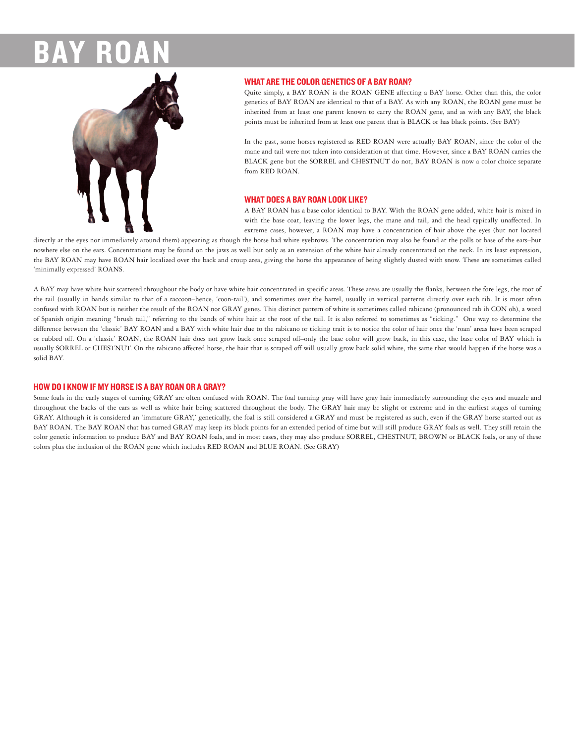

# **WHAT ARE THE COLOR GENETICS OF A BAY ROAN?**

Quite simply, a BAY ROAN is the ROAN GENE affecting a BAY horse. Other than this, the color genetics of BAY ROAN are identical to that of a BAY. As with any ROAN, the ROAN gene must be inherited from at least one parent known to carry the ROAN gene, and as with any BAY, the black points must be inherited from at least one parent that is BLACK or has black points. (See BAY)

In the past, some horses registered as RED ROAN were actually BAY ROAN, since the color of the mane and tail were not taken into consideration at that time. However, since a BAY ROAN carries the BLACK gene but the SORREL and CHESTNUT do not, BAY ROAN is now a color choice separate from RED ROAN.

#### **WHAT DOES A BAY ROAN LOOK LIKE?**

A BAY ROAN has a base color identical to BAY. With the ROAN gene added, white hair is mixed in with the base coat, leaving the lower legs, the mane and tail, and the head typically unaffected. In extreme cases, however, a ROAN may have a concentration of hair above the eyes (but not located

directly at the eyes nor immediately around them) appearing as though the horse had white eyebrows. The concentration may also be found at the polls or base of the ears-but nowhere else on the ears. Concentrations may be found on the jaws as well but only as an extension of the white hair already concentrated on the neck. In its least expression, the BAY ROAN may have ROAN hair localized over the back and croup area, giving the horse the appearance of being slightly dusted with snow. These are sometimes called 'minimally expressed' ROANS.

A BAY may have white hair scattered throughout the body or have white hair concentrated in specific areas. These areas are usually the flanks, between the fore legs, the root of the tail (usually in bands similar to that of a raccoon-hence, 'coon-tail'), and sometimes over the barrel, usually in vertical patterns directly over each rib. It is most often confused with ROAN but is neither the result of the ROAN nor GRAY genes. This distinct pattern of white is sometimes called rabicano (pronounced rab ih CON oh), a word of Spanish origin meaning "brush tail," referring to the bands of white hair at the root of the tail. It is also referred to sometimes as "ticking." One way to determine the difference between the 'classic' BAY ROAN and a BAY with white hair due to the rabicano or ticking trait is to notice the color of hair once the 'roan' areas have been scraped or rubbed off. On a 'classic' ROAN, the ROAN hair does not grow back once scraped off-only the base color will grow back, in this case, the base color of BAY which is usually SORREL or CHESTNUT. On the rabicano affected horse, the hair that is scraped off will usually grow back solid white, the same that would happen if the horse was a solid BAY

# **HOW DO I KNOW IF MY HORSE IS A BAY ROAN OR A GRAY?**

Some foals in the early stages of turning GRAY are often confused with ROAN. The foal turning gray will have gray hair immediately surrounding the eyes and muzzle and throughout the backs of the ears as well as white hair being scattered throughout the body. The GRAY hair may be slight or extreme and in the earliest stages of turning GRAY. Although it is considered an 'immature GRAY,' genetically, the foal is still considered a GRAY and must be registered as such, even if the GRAY horse started out as BAY ROAN. The BAY ROAN that has turned GRAY may keep its black points for an extended period of time but will still produce GRAY foals as well. They still retain the color genetic information to produce BAY and BAY ROAN foals, and in most cases, they may also produce SORREL, CHESTNUT, BROWN or BLACK foals, or any of these colors plus the inclusion of the ROAN gene which includes RED ROAN and BLUE ROAN. (See GRAY)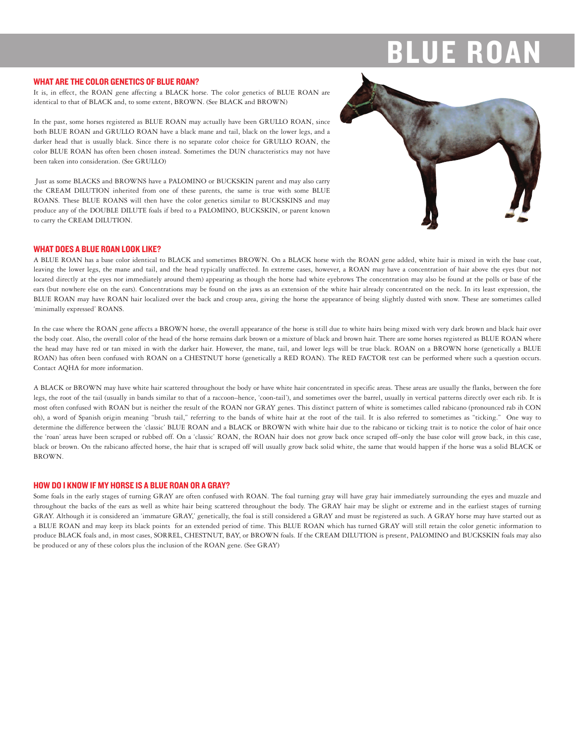# E R

#### **WHAT ARE THE COLOR GENETICS OF BLUE ROAN?**

It is, in effect, the ROAN gene affecting a BLACK horse. The color genetics of BLUE ROAN are identical to that of BLACK and, to some extent, BROWN. (See BLACK and BROWN)

In the past, some horses registered as BLUE ROAN may actually have been GRULLO ROAN, since both BLUE ROAN and GRULLO ROAN have a black mane and tail, black on the lower legs, and a darker head that is usually black. Since there is no separate color choice for GRULLO ROAN, the color BLUE ROAN has often been chosen instead. Sometimes the DUN characteristics may not have been taken into consideration. (See GRULLO)

Just as some BLACKS and BROWNS have a PALOMINO or BUCKSKIN parent and may also carry the CREAM DILUTION inherited from one of these parents, the same is true with some BLUE ROANS. These BLUE ROANS will then have the color genetics similar to BUCKSKINS and may produce any of the DOUBLE DILUTE foals if bred to a PALOMINO, BUCKSKIN, or parent known to carry the CREAM DILUTION.



# **WHAT DOES A BLUE ROAN LOOK LIKE?**

A BLUE ROAN has a base color identical to BLACK and sometimes BROWN. On a BLACK horse with the ROAN gene added, white hair is mixed in with the base coat, leaving the lower legs, the mane and tail, and the head typically unaffected. In extreme cases, however, a ROAN may have a concentration of hair above the eyes (but not located directly at the eyes nor immediately around them) appearing as though the horse had white eyebrows The concentration may also be found at the polls or base of the ears (but nowhere else on the ears). Concentrations may be found on the jaws as an extension of the white hair already concentrated on the neck. In its least expression, the BLUE ROAN may have ROAN hair localized over the back and croup area, giving the horse the appearance of being slightly dusted with snow. These are sometimes called 'minimally expressed' ROANS.

In the case where the ROAN gene affects a BROWN horse, the overall appearance of the horse is still due to white hairs being mixed with very dark brown and black hair over the body coat. Also, the overall color of the head of the horse remains dark brown or a mixture of black and brown hair. There are some horses registered as BLUE ROAN where the head may have red or tan mixed in with the darker hair. However, the mane, tail, and lower legs will be true black. ROAN on a BROWN horse (genetically a BLUE ROAN) has often been confused with ROAN on a CHESTNUT horse (genetically a RED ROAN). The RED FACTOR test can be performed where such a question occurs. Contact AOHA for more information.

A BLACK or BROWN may have white hair scattered throughout the body or have white hair concentrated in specific areas. These areas are usually the flanks, between the fore legs, the root of the tail (usually in bands similar to that of a raccoon-hence, 'coon-tail'), and sometimes over the barrel, usually in vertical patterns directly over each rib. It is most often confused with ROAN but is neither the result of the ROAN nor GRAY genes. This distinct pattern of white is sometimes called rabicano (pronounced rab ih CON oh), a word of Spanish origin meaning "brush tail," referring to the bands of white hair at the root of the tail. It is also referred to sometimes as "ticking." One way to determine the difference between the 'classic' BLUE ROAN and a BLACK or BROWN with white hair due to the rabicano or ticking trait is to notice the color of hair once the 'roan' areas have been scraped or rubbed off. On a 'classic' ROAN, the ROAN hair does not grow back once scraped off-only the base color will grow back, in this case, black or brown. On the rabicano affected horse, the hair that is scraped off will usually grow back solid white, the same that would happen if the horse was a solid BLACK or BROWN.

### **HOW DO I KNOW IF MY HORSE IS A BLUE ROAN OR A GRAY?**

Some foals in the early stages of turning GRAY are often confused with ROAN. The foal turning gray will have gray hair immediately surrounding the eyes and muzzle and throughout the backs of the ears as well as white hair being scattered throughout the body. The GRAY hair may be slight or extreme and in the earliest stages of turning GRAY. Although it is considered an 'immature GRAY,' genetically, the foal is still considered a GRAY and must be registered as such. A GRAY horse may have started out as a BLUE ROAN and may keep its black points for an extended period of time. This BLUE ROAN which has turned GRAY will still retain the color genetic information to produce BLACK foals and, in most cases, SORREL, CHESTNUT, BAY, or BROWN foals. If the CREAM DILUTION is present, PALOMINO and BUCKSKIN foals may also be produced or any of these colors plus the inclusion of the ROAN gene. (See GRAY)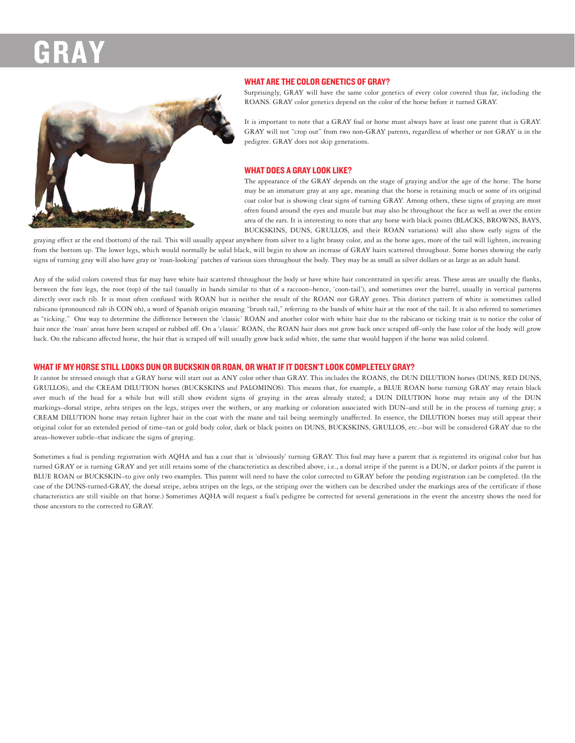

## **WHAT ARE THE COLOR GENETICS OF GRAY?**

Surprisingly, GRAY will have the same color genetics of every color covered thus far, including the ROANS. GRAY color genetics depend on the color of the horse before it turned GRAY.

It is important to note that a GRAY foal or horse must always have at least one parent that is GRAY. GRAY will not "crop out" from two non-GRAY parents, regardless of whether or not GRAY is in the pedigree. GRAY does not skip generations.

# **WHAT DOES A GRAY LOOK LIKE?**

The appearance of the GRAY depends on the stage of graying and/or the age of the horse. The horse may be an immature gray at any age, meaning that the horse is retaining much or some of its original coat color but is showing clear signs of turning GRAY. Among others, these signs of graying are most often found around the eyes and muzzle but may also be throughout the face as well as over the entire area of the ears. It is interesting to note that any horse with black points (BLACKS, BROWNS, BAYS, BUCKSKINS, DUNS, GRULLOS, and their ROAN variations) will also show early signs of the

graying effect at the end (bottom) of the tail. This will usually appear anywhere from silver to a light brassy color, and as the horse ages, more of the tail will lighten, increasing from the bottom up. The lower legs, which would normally be solid black, will begin to show an increase of GRAY hairs scattered throughout. Some horses showing the early signs of turning gray will also have gray or 'roan-looking' patches of various sizes throughout the body. They may be as small as silver dollars or as large as an adult hand.

Any of the solid colors covered thus far may have white hair scattered throughout the body or have white hair concentrated in specific areas. These areas are usually the flanks, between the fore legs, the root (top) of the tail (usually in bands similar to that of a raccoon-hence, 'coon-tail'), and sometimes over the barrel, usually in vertical patterns directly over each rib. It is most often confused with ROAN but is neither the result of the ROAN nor GRAY genes. This distinct pattern of white is sometimes called rabicano (pronounced rab ih CON oh), a word of Spanish origin meaning "brush tail," referring to the bands of white hair at the root of the tail. It is also referred to sometimes as "ticking." One way to determine the difference between the 'classic' ROAN and another color with white hair due to the rabicano or ticking trait is to notice the color of hair once the 'roan' areas have been scraped or rubbed off. On a 'classic' ROAN, the ROAN hair does not grow back once scraped off-only the base color of the body will grow back. On the rabicano affected horse, the hair that is scraped off will usually grow back solid white, the same that would happen if the horse was solid colored.

# WHAT IF MY HORSE STILL LOOKS DUN OR BUCKSKIN OR ROAN, OR WHAT IF IT DOESN'T LOOK COMPLETELY GRAY?

It cannot be stressed enough that a GRAY horse will start out as ANY color other than GRAY. This includes the ROANS, the DUN DILUTION horses (DUNS, RED DUNS, GRULLOS), and the CREAM DILUTION horses (BUCKSKINS and PALOMINOS). This means that, for example, a BLUE ROAN horse turning GRAY may retain black over much of the head for a while but will still show evident signs of graying in the areas already stated; a DUN DILUTION horse may retain any of the DUN markings-dorsal stripe, zebra stripes on the legs, stripes over the withers, or any marking or coloration associated with DUN-and still be in the process of turning gray; a CREAM DILUTION horse may retain lighter hair in the coat with the mane and tail being seemingly unaffected. In essence, the DILUTION horses may still appear their original color for an extended period of time-tan or gold body color, dark or black points on DUNS, BUCKSKINS, GRULLOS, etc.-but will be considered GRAY due to the areas-however subtle-that indicate the signs of graving.

Sometimes a foal is pending registration with AOHA and has a coat that is 'obviously' turning GRAY. This foal may have a parent that is registered its original color but has turned GRAY or is turning GRAY and vet still retains some of the characteristics as described above, i.e., a dorsal stripe if the parent is a DUN, or darker points if the parent is BLUE ROAN or BUCKSKIN-to give only two examples. This parent will need to have the color corrected to GRAY before the pending registration can be completed. (In the case of the DUNS-turned-GRAY, the dorsal stripe, zebra stripes on the legs, or the striping over the withers can be described under the markings area of the certificate if those characteristics are still visible on that horse.) Sometimes AQHA will request a foal's pedigree be corrected for several generations in the event the ancestry shows the need for those ancestors to the corrected to GRAY.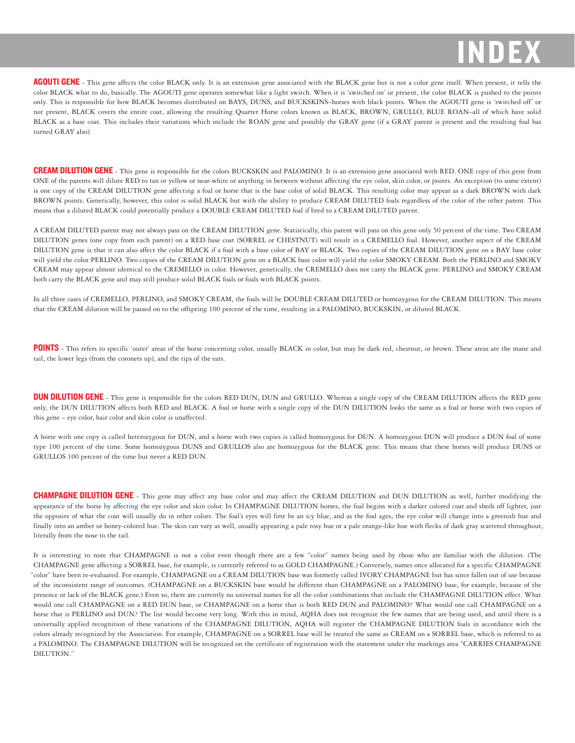**AGOUTI GENE** - This gene affects the color BLACK only. It is an extension gene associated with the BLACK gene but is not a color gene itself. When present, it tells the color BLACK what to do, basically. The AGOUTI gene operates somewhat like a light switch. When it is 'switched on' or present, the color BLACK is pushed to the points only. This is responsible for how BLACK becomes distributed on BAYS, DUNS, and BUCKSKINS-horses with black points. When the AGOUTI gene is 'switched off' or not present, BLACK covers the entire coat, allowing the resulting Quarter Horse colors known as BLACK, BROWN, GRULLO, BLUE ROAN-all of which have solid BLACK as a base coat. This includes their variations which include the ROAN gene and possibly the GRAY gene (if a GRAY parent is present and the resulting foal has turned GRAY also).

**CREAM DILUTION GENE** - This gene is responsible for the colors BUCKSKIN and PALOMINO. It is an extension gene associated with RED. ONE copy of this gene from ONE of the parents will dilute RED to tan or yellow or near-white or anything in between without affecting the eye color, skin color, or points. An exception (to some extent) is one copy of the CREAM DILUTION gene affecting a foal or horse that is the base color of solid BLACK. This resulting color may appear as a dark BROWN with dark BROWN points. Genetically, however, this color is solid BLACK but with the ability to produce CREAM DILUTED foals regardless of the color of the other parent. This means that a diluted BLACK could potentially produce a DOUBLE CREAM DILUTED foal if bred to a CREAM DILUTED parent.

A CREAM DILUTED parent may not always pass on the CREAM DILUTION gene. Statistically, this parent will pass on this gene only 50 percent of the time. Two CREAM DILUTION genes (one copy from each parent) on a RED base coat (SORREL or CHESTNUT) will result in a CREMELLO foal. However, another aspect of the CREAM DILUTION gene is that it can also affect the color BLACK if a foal with a base color of BAY or BLACK. Two copies of the CREAM DILUTION gene on a BAY base color will yield the color PERLINO. Two copies of the CREAM DILUTION gene on a BLACK base color will yield the color SMOKY CREAM. Both the PERLINO and SMOKY CREAM may appear almost identical to the CREMELLO in color. However, genetically, the CREMELLO does not carry the BLACK gene. PERLINO and SMOKY CREAM both carry the BLACK gene and may still produce solid BLACK foals or foals with BLACK points.

In all three cases of CREMELLO, PERLINO, and SMOKY CREAM, the foals will be DOUBLE CREAM DILUTED or homozygous for the CREAM DILUTION. This means that the CREAM dilution will be passed on to the offspring 100 percent of the time, resulting in a PALOMINO, BUCKSKIN, or diluted BLACK.

POINTS - This refers to specific 'outer' areas of the horse concerning color, usually BLACK in color, but may be dark red, chestnut, or brown. These areas are the mane and tail, the lower legs (from the coronets up), and the tips of the ears.

**DUN DILUTION GENE** - This gene is responsible for the colors RED DUN, DUN and GRULLO. Whereas a single copy of the CREAM DILUTION affects the RED gene only, the DUN DILUTION affects both RED and BLACK. A foal or horse with a single copy of the DUN DILUTION looks the same as a foal or horse with two copies of this gene - eye color, hair color and skin color is unaffected.

A horse with one copy is called heterozygous for DUN, and a horse with two copies is called homozygous for DUN. A homozygous DUN will produce a DUN foal of some type 100 percent of the time. Some homozygous DUNS and GRULLOS also are homozygous for the BLACK gene. This means that these horses will produce DUNS or GRULLOS 100 percent of the time but never a RED DUN.

**CHAMPAGNE DILUTION GENE** - This gene may affect any base color and may affect the CREAM DILUTION and DUN DILUTION as well, further modifying the appearance of the horse by affecting the eye color and skin color. In CHAMPAGNE DILUTION horses, the foal begins with a darker colored coat and sheds off lighter, just the opposite of what the coat will usually do in other colors. The foal's eyes will first be an icy blue, and as the foal ages, the eye color will change into a greenish hue and finally into an amber or honey-colored hue. The skin can vary as well, usually appearing a pale rosy hue or a pale orange-like hue with flecks of dark gray scattered throughout, literally from the nose to the tail.

It is interesting to note that CHAMPAGNE is not a color even though there are a few "color" names being used by those who are familiar with the dilution. (The CHAMPAGNE gene affecting a SORREL base, for example, is currently referred to as GOLD CHAMPAGNE.) Conversely, names once allocated for a specific CHAMPAGNE "color" have been re-evaluated. For example, CHAMPAGNE on a CREAM DILUTION base was formerly called IVORY CHAMPAGNE but has since fallen out of use because of the inconsistent range of outcomes. (CHAMPAGNE on a BUCKSKIN base would be different than CHAMPAGNE on a PALOMINO base, for example, because of the presence or lack of the BLACK gene.) Even so, there are currently no universal names for all the color combinations that include the CHAMPAGNE DILUTION effect. What would one call CHAMPAGNE on a RED DUN base, or CHAMPAGNE on a horse that is both RED DUN and PALOMINO? What would one call CHAMPAGNE on a horse that is PERLINO and DUN? The list would become very long. With this in mind, AQHA does not recognize the few names that are being used, and until there is a universally applied recognition of these variations of the CHAMPAGNE DILUTION, AQHA will register the CHAMPAGNE DILUTION foals in accordance with the colors already recognized by the Association. For example, CHAMPAGNE on a SORREL base will be treated the same as CREAM on a SORREL base, which is referred to as a PALOMINO. The CHAMPAGNE DILUTION will be recognized on the certificate of registration with the statement under the markings area "CARRIES CHAMPAGNE DILUTION."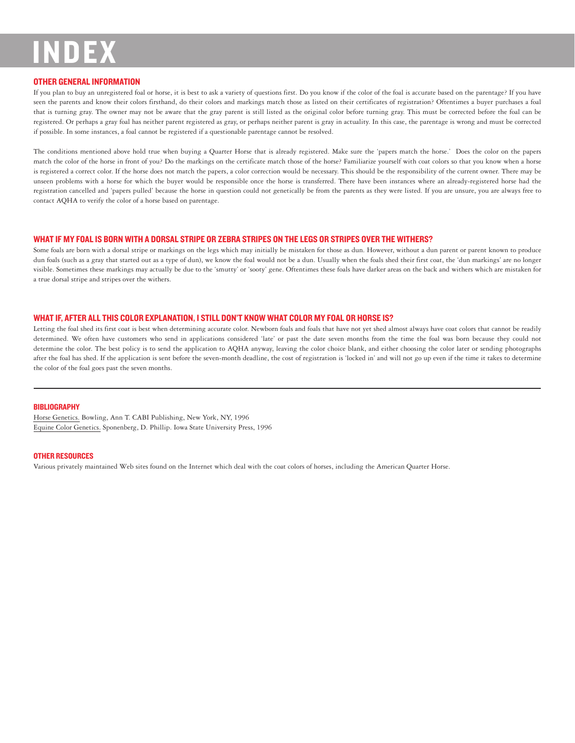# **OTHER GENERAL INFORMATION**

If you plan to buy an unregistered foal or horse, it is best to ask a variety of questions first. Do you know if the color of the foal is accurate based on the parentage? If you have seen the parents and know their colors firsthand, do their colors and markings match those as listed on their certificates of registration? Oftentimes a buyer purchases a foal that is turning gray. The owner may not be aware that the gray parent is still listed as the original color before turning gray. This must be corrected before the foal can be registered. Or perhaps a gray foal has neither parent registered as gray, or perhaps neither parent is gray in actuality. In this case, the parentage is wrong and must be corrected if possible. In some instances, a foal cannot be registered if a questionable parentage cannot be resolved.

The conditions mentioned above hold true when buying a Quarter Horse that is already registered. Make sure the 'papers match the horse.' Does the color on the papers match the color of the horse in front of you? Do the markings on the certificate match those of the horse? Familiarize yourself with coat colors so that you know when a horse is registered a correct color. If the horse does not match the papers, a color correction would be necessary. This should be the responsibility of the current owner. There may be unseen problems with a horse for which the buyer would be responsible once the horse is transferred. There have been instances where an already-registered horse had the registration cancelled and 'papers pulled' because the horse in question could not genetically be from the parents as they were listed. If you are unsure, you are always free to contact AQHA to verify the color of a horse based on parentage.

# WHAT IF MY FOAL IS BORN WITH A DORSAL STRIPE OR ZEBRA STRIPES ON THE LEGS OR STRIPES OVER THE WITHERS?

Some foals are born with a dorsal stripe or markings on the legs which may initially be mistaken for those as dun. However, without a dun parent or parent known to produce dun foals (such as a gray that started out as a type of dun), we know the foal would not be a dun. Usually when the foals shed their first coat, the 'dun markings' are no longer visible. Sometimes these markings may actually be due to the 'smutty' or 'sooty' gene. Oftentimes these foals have darker areas on the back and withers which are mistaken for a true dorsal stripe and stripes over the withers.

# WHAT IF, AFTER ALL THIS COLOR EXPLANATION, I STILL DON'T KNOW WHAT COLOR MY FOAL OR HORSE IS?

Letting the foal shed its first coat is best when determining accurate color. Newborn foals and foals that have not yet shed almost always have coat colors that cannot be readily determined. We often have customers who send in applications considered 'late' or past the date seven months from the time the foal was born because they could not determine the color. The best policy is to send the application to AQHA anyway, leaving the color choice blank, and either choosing the color later or sending photographs after the foal has shed. If the application is sent before the seven-month deadline, the cost of registration is 'locked in' and will not go up even if the time it takes to determine the color of the foal goes past the seven months.

#### **BIBLIOGRAPHY**

Horse Genetics. Bowling, Ann T. CABI Publishing, New York, NY, 1996 Equine Color Genetics. Sponenberg, D. Phillip. Iowa State University Press, 1996

#### **OTHER RESOURCES**

Various privately maintained Web sites found on the Internet which deal with the coat colors of horses, including the American Quarter Horse.